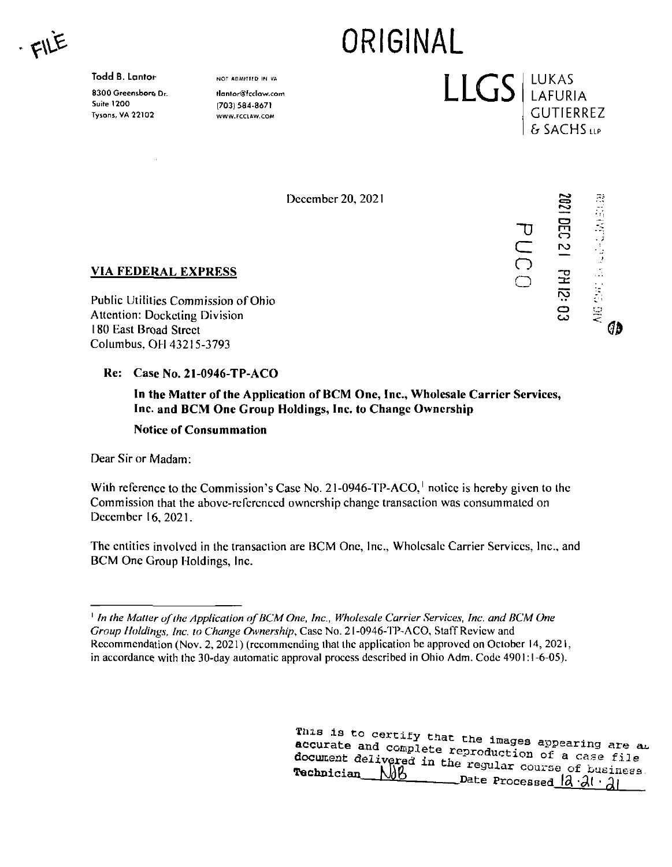FILE

**Todd B. Lantor**

8300 Greensborg Dr. Suite 1200 Tysons, VA 22102

NOT ADMIIIED IN VA tlantor@fcclaw.com (703) 584-8671

WWW.FCCIAW.COM

December 20, 2021

ORIGINAL

LLGS LUKAS

**"D**

**CZ o o**

**5**

**O m**

' <sup>1</sup>

. <sup>J</sup>

Øв

LAFURIA GUTIERREZ & SACHS LLP

 $\boldsymbol{\mathsf{v}}$ 

o co



Public Utilities Commission of Ohio Attention: Docketing Division 180 East Broad Street Columbus, OH 43215-3793

## **Re: Case No. 21-0946-TP-ACO**

**In the Matter of the Application of BCM One, Inc., Wholesale Carrier Services, Inc. and BCM One Group Holdings, Inc. to Change Ownership**

**Notice of Consummation**

Dear Sir or Madam:

With reference to the Commission's Case No. 21-0946-TP-ACO,<sup> $\dagger$ </sup> notice is hereby given to the Commission that the above-referenced ownership change transaction was consummated on December 16, 2021.

The entities involved in the transaction are BCM One, Inc., Wholesale Carrier Services, Inc., and BCM One Group Holdings, Inc.

certify that the images *accurate and^compleM^reprodiTappearing are oi,* document delivered in the regular course of business. accurate and complete reproduction of a case file<br> **document** delivered in the regular course of business<br> **Technician** AMA  $N_0$  $D$  Date Processed  $\frac{|a \cdot a| \cdot a}{|a|}$ 

 $^1$  In the Matter of the Application of BCM One, Inc., Wholesale Carrier Services, Inc. and BCM One Group Holdings, Inc. to Change Ownership, Case No. 21-0946-TP-ACO, Staff Review and Recommendation (Nov. 2, 2021) (recommending that the application be approved on October 14, 202<sup>1</sup>, in accordance with the 30-day automatic approval process described in Ohio Adm. Code 4901:1-6-05).